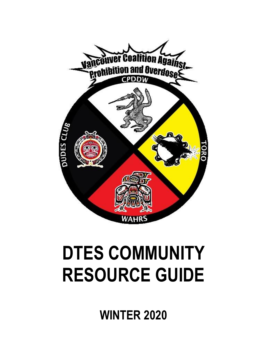

# **DTES COMMUNITY RESOURCE GUIDE**

**WINTER 2020**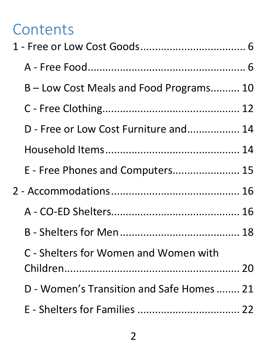# **Contents**

| B – Low Cost Meals and Food Programs 10   |  |
|-------------------------------------------|--|
|                                           |  |
| D - Free or Low Cost Furniture and 14     |  |
|                                           |  |
| E - Free Phones and Computers 15          |  |
|                                           |  |
|                                           |  |
|                                           |  |
| C - Shelters for Women and Women with     |  |
| D - Women's Transition and Safe Homes  21 |  |
|                                           |  |
|                                           |  |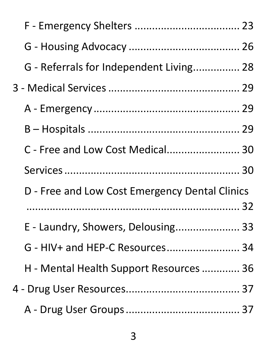| G - Referrals for Independent Living 28        |  |
|------------------------------------------------|--|
|                                                |  |
|                                                |  |
|                                                |  |
| C - Free and Low Cost Medical 30               |  |
|                                                |  |
| D - Free and Low Cost Emergency Dental Clinics |  |
| E - Laundry, Showers, Delousing 33             |  |
| G - HIV+ and HEP-C Resources 34                |  |
| H - Mental Health Support Resources  36        |  |
|                                                |  |
|                                                |  |
|                                                |  |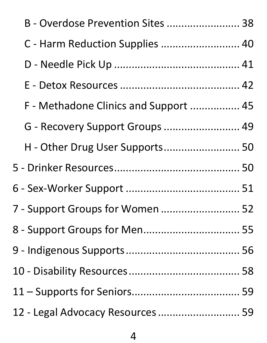| B - Overdose Prevention Sites  38     |  |
|---------------------------------------|--|
| C - Harm Reduction Supplies  40       |  |
|                                       |  |
|                                       |  |
| F - Methadone Clinics and Support  45 |  |
| G - Recovery Support Groups  49       |  |
| H - Other Drug User Supports 50       |  |
|                                       |  |
|                                       |  |
| 7 - Support Groups for Women  52      |  |
| 8 - Support Groups for Men 55         |  |
|                                       |  |
|                                       |  |
|                                       |  |
| 12 - Legal Advocacy Resources  59     |  |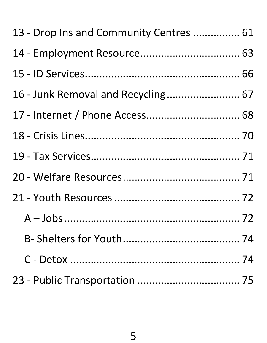| 13 - Drop Ins and Community Centres  61 |  |
|-----------------------------------------|--|
|                                         |  |
|                                         |  |
| 16 - Junk Removal and Recycling 67      |  |
|                                         |  |
|                                         |  |
|                                         |  |
|                                         |  |
|                                         |  |
|                                         |  |
|                                         |  |
|                                         |  |
|                                         |  |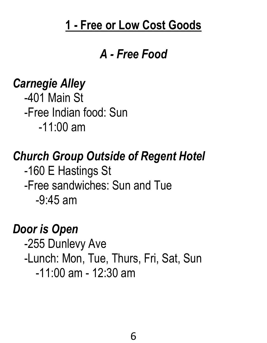#### <span id="page-5-0"></span>**1 - Free or Low Cost Goods**

#### *A - Free Food*

### <span id="page-5-1"></span>*Carnegie Alley*

 -401 Main St -Free Indian food: Sun -11:00 am

## *Church Group Outside of Regent Hotel*

 -160 E Hastings St -Free sandwiches: Sun and Tue -9:45 am

### *Door is Open*

 -255 Dunlevy Ave -Lunch: Mon, Tue, Thurs, Fri, Sat, Sun -11:00 am - 12:30 am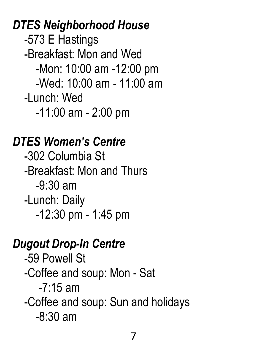*DTES Neighborhood House*  -573 E Hastings -Breakfast: Mon and Wed -Mon: 10:00 am -12:00 pm -Wed: 10:00 am - 11:00 am -Lunch: Wed -11:00 am - 2:00 pm

### *DTES Women's Centre*

 -302 Columbia St -Breakfast: Mon and Thurs -9:30 am -Lunch: Daily -12:30 pm - 1:45 pm

#### *Dugout Drop-In Centre*

 -59 Powell St -Coffee and soup: Mon - Sat  $-7.15$  am -Coffee and soup: Sun and holidays -8:30 am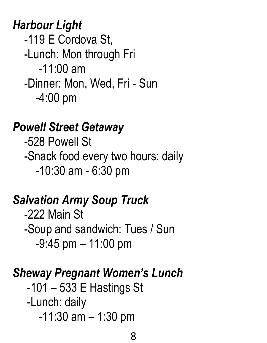*Harbour Light* -119 E Cordova St, -Lunch: Mon through Fri -11:00 am -Dinner: Mon, Wed, Fri - Sun -4:00 pm

### *Powell Street Getaway*

 -528 Powell St -Snack food every two hours: daily -10:30 am - 6:30 pm

# *Salvation Army Soup Truck*

 -222 Main St -Soup and sandwich: Tues / Sun -9:45 pm – 11:00 pm

# *Sheway Pregnant Women's Lunch*

 -101 – 533 E Hastings St -Lunch: daily -11:30 am – 1:30 pm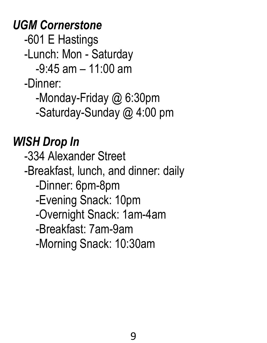*UGM Cornerstone*

-601 E Hastings

-Lunch: Mon - Saturday

-9:45 am – 11:00 am

-Dinner:

-Monday-Friday @ 6:30pm

-Saturday-Sunday @ 4:00 pm

# *WISH Drop In*

 -334 Alexander Street -Breakfast, lunch, and dinner: daily -Dinner: 6pm-8pm -Evening Snack: 10pm -Overnight Snack: 1am-4am -Breakfast: 7am-9am

-Morning Snack: 10:30am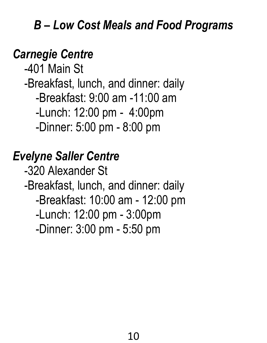### <span id="page-9-0"></span>*B – Low Cost Meals and Food Programs*

# *Carnegie Centre*

 -401 Main St -Breakfast, lunch, and dinner: daily -Breakfast: 9:00 am -11:00 am -Lunch: 12:00 pm - 4:00pm -Dinner: 5:00 pm - 8:00 pm

# *Evelyne Saller Centre*

 -320 Alexander St -Breakfast, lunch, and dinner: daily -Breakfast: 10:00 am - 12:00 pm -Lunch: 12:00 pm - 3:00pm -Dinner: 3:00 pm - 5:50 pm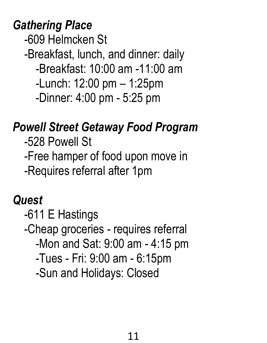*Gathering Place*

-609 Helmcken St

-Breakfast, lunch, and dinner: daily

-Breakfast: 10:00 am -11:00 am

-Lunch: 12:00 pm – 1:25pm

-Dinner: 4:00 pm - 5:25 pm

### *Powell Street Getaway Food Program*

 -528 Powell St -Free hamper of food upon move in -Requires referral after 1pm

### *Quest*

 -611 E Hastings -Cheap groceries - requires referral -Mon and Sat: 9:00 am - 4:15 pm -Tues - Fri: 9:00 am - 6:15pm -Sun and Holidays: Closed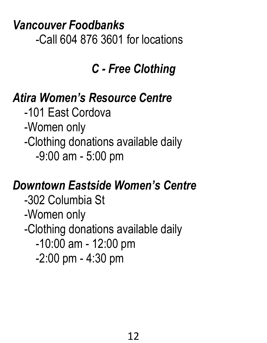*Vancouver Foodbanks* -Call 604 876 3601 for locations

# *C - Free Clothing*

# <span id="page-11-0"></span>*Atira Women's Resource Centre*

 -101 East Cordova -Women only -Clothing donations available daily -9:00 am - 5:00 pm

# *Downtown Eastside Women's Centre*

 -302 Columbia St -Women only -Clothing donations available daily -10:00 am - 12:00 pm -2:00 pm - 4:30 pm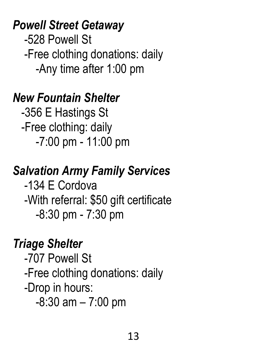### *Powell Street Getaway*

 -528 Powell St -Free clothing donations: daily -Any time after 1:00 pm

### *New Fountain Shelter*

 -356 E Hastings St -Free clothing: daily -7:00 pm - 11:00 pm

# *Salvation Army Family Services*

 -134 E Cordova -With referral: \$50 gift certificate -8:30 pm - 7:30 pm

# *Triage Shelter*

 -707 Powell St -Free clothing donations: daily -Drop in hours: -8:30 am – 7:00 pm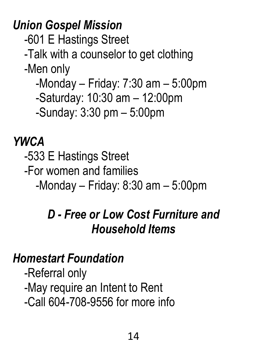*Union Gospel Mission*

-601 E Hastings Street

-Talk with a counselor to get clothing

-Men only

-Monday – Friday: 7:30 am – 5:00pm

-Saturday: 10:30 am – 12:00pm

-Sunday: 3:30 pm – 5:00pm

### *YWCA*

-533 E Hastings Street

-For women and families

<span id="page-13-0"></span>-Monday – Friday: 8:30 am – 5:00pm

# *D - Free or Low Cost Furniture and Household Items*

### <span id="page-13-1"></span>*Homestart Foundation*

 -Referral only -May require an Intent to Rent -Call 604-708-9556 for more info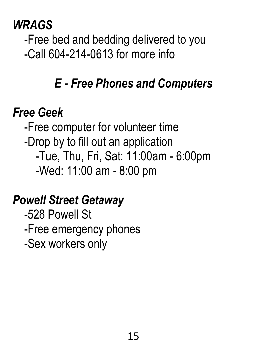### *WRAGS*

 -Free bed and bedding delivered to you -Call 604-214-0613 for more info

# *E - Free Phones and Computers*

# <span id="page-14-0"></span>*Free Geek*

 -Free computer for volunteer time -Drop by to fill out an application -Tue, Thu, Fri, Sat: 11:00am - 6:00pm -Wed: 11:00 am - 8:00 pm

# *Powell Street Getaway*

 -528 Powell St -Free emergency phones -Sex workers only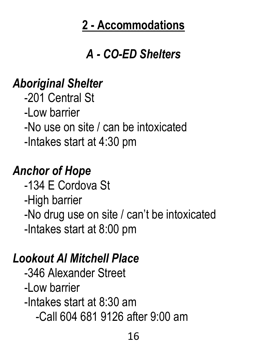# **2 - Accommodations**

# *A - CO-ED Shelters*

### <span id="page-15-1"></span><span id="page-15-0"></span>*Aboriginal Shelter*

 -201 Central St -Low barrier -No use on site / can be intoxicated -Intakes start at 4:30 pm

# *Anchor of Hope*

 -134 E Cordova St -High barrier -No drug use on site / can't be intoxicated -Intakes start at 8:00 pm

## *Lookout Al Mitchell Place*

 -346 Alexander Street -Low barrier -Intakes start at 8:30 am -Call 604 681 9126 after 9:00 am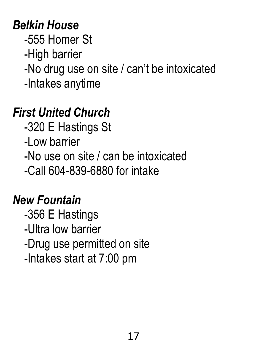# *Belkin House*

-555 Homer St

-High barrier

-No drug use on site / can't be intoxicated

-Intakes anytime

# *First United Church*

-320 E Hastings St

-Low barrier

-No use on site / can be intoxicated

-Call 604-839-6880 for intake

# *New Fountain*

 -356 E Hastings -Ultra low barrier -Drug use permitted on site -Intakes start at 7:00 pm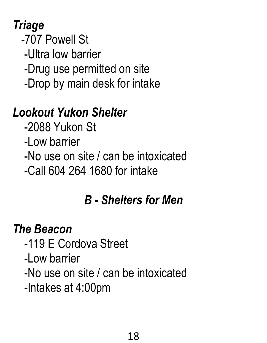# *Triage*

- -707 Powell St
	- -Ultra low barrier
- -Drug use permitted on site
- -Drop by main desk for intake

# *Lookout Yukon Shelter*

- -2088 Yukon St
- -Low barrier
- -No use on site / can be intoxicated
- <span id="page-17-0"></span>-Call 604 264 1680 for intake

# *B - Shelters for Men*

# *The Beacon*

- -119 E Cordova Street
- -Low barrier
- -No use on site / can be intoxicated
- -Intakes at 4:00pm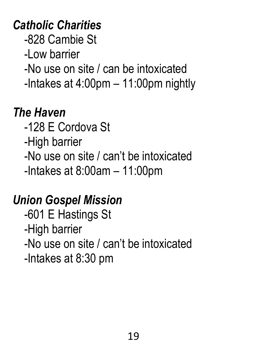# *Catholic Charities*

-828 Cambie St

-Low barrier

-No use on site / can be intoxicated

-Intakes at 4:00pm – 11:00pm nightly

# *The Haven*

- -128 E Cordova St
- -High barrier
- -No use on site / can't be intoxicated

-Intakes at 8:00am – 11:00pm

# *Union Gospel Mission*

 -601 E Hastings St -High barrier -No use on site / can't be intoxicated -Intakes at 8:30 pm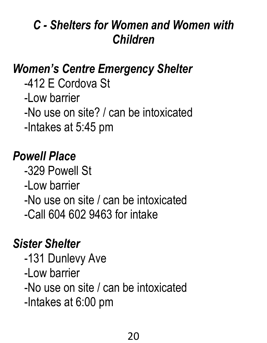# <span id="page-19-0"></span>*C - Shelters for Women and Women with Children*

# *Women's Centre Emergency Shelter*

 -412 E Cordova St -Low barrier -No use on site? / can be intoxicated -Intakes at 5:45 pm

# *Powell Place*

 -329 Powell St -Low barrier -No use on site / can be intoxicated -Call 604 602 9463 for intake

## *Sister Shelter*

 -131 Dunlevy Ave -Low barrier -No use on site / can be intoxicated -Intakes at 6:00 pm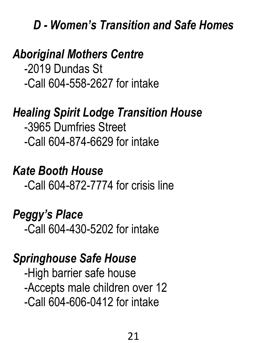#### <span id="page-20-0"></span>*D - Women's Transition and Safe Homes*

### *Aboriginal Mothers Centre*

 -2019 Dundas St -Call 604-558-2627 for intake

### *Healing Spirit Lodge Transition House*

 -3965 Dumfries Street -Call 604-874-6629 for intake

### *Kate Booth House*

-Call 604-872-7774 for crisis line

#### *Peggy's Place*

-Call 604-430-5202 for intake

#### *Springhouse Safe House*

 -High barrier safe house -Accepts male children over 12 -Call 604-606-0412 for intake

21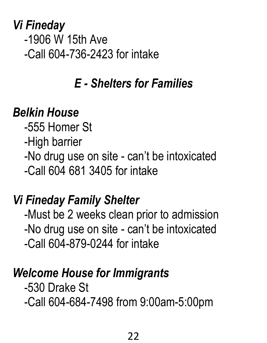*Vi Fineday* -1906 W 15th Ave -Call 604-736-2423 for intake

# *E - Shelters for Families*

### <span id="page-21-0"></span>*Belkin House*

 -555 Homer St -High barrier -No drug use on site - can't be intoxicated -Call 604 681 3405 for intake

## *Vi Fineday Family Shelter*

 -Must be 2 weeks clean prior to admission -No drug use on site - can't be intoxicated -Call 604-879-0244 for intake

### *Welcome House for Immigrants*

 -530 Drake St -Call 604-684-7498 from 9:00am-5:00pm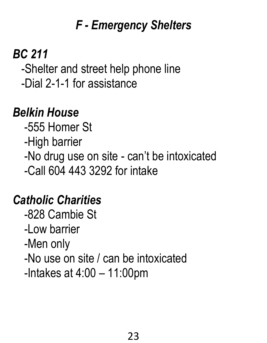# *F - Emergency Shelters*

# <span id="page-22-0"></span>*BC 211*

 -Shelter and street help phone line -Dial 2-1-1 for assistance

# *Belkin House*

 -555 Homer St -High barrier -No drug use on site - can't be intoxicated -Call 604 443 3292 for intake

# *Catholic Charities*

 -828 Cambie St -Low barrier -Men only -No use on site / can be intoxicated -Intakes at 4:00 – 11:00pm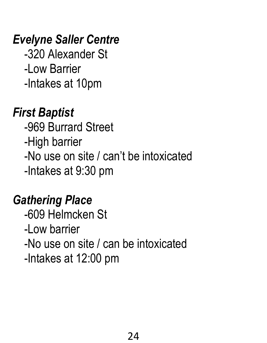# *Evelyne Saller Centre*

 -320 Alexander St -Low Barrier -Intakes at 10pm

# *First Baptist*

 -969 Burrard Street -High barrier -No use on site / can't be intoxicated -Intakes at 9:30 pm

# *Gathering Place*

 -609 Helmcken St -Low barrier -No use on site / can be intoxicated -Intakes at 12:00 pm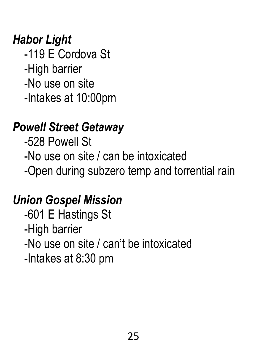# *Habor Light*

 -119 E Cordova St -High barrier -No use on site -Intakes at 10:00pm

## *Powell Street Getaway*

 -528 Powell St -No use on site / can be intoxicated -Open during subzero temp and torrential rain

## *Union Gospel Mission*

 -601 E Hastings St -High barrier -No use on site / can't be intoxicated -Intakes at 8:30 pm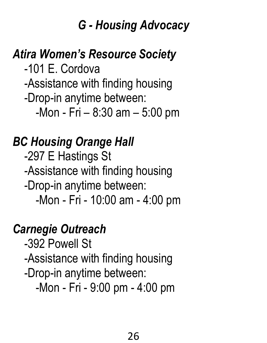### *G - Housing Advocacy*

# <span id="page-25-0"></span>*Atira Women's Resource Society*

 -101 E. Cordova -Assistance with finding housing -Drop-in anytime between: -Mon - Fri – 8:30 am – 5:00 pm

## *BC Housing Orange Hall*

 -297 E Hastings St -Assistance with finding housing -Drop-in anytime between: -Mon - Fri - 10:00 am - 4:00 pm

# *Carnegie Outreach*

 -392 Powell St -Assistance with finding housing -Drop-in anytime between: -Mon - Fri - 9:00 pm - 4:00 pm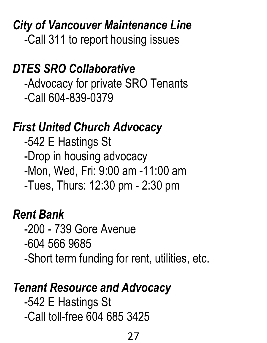*City of Vancouver Maintenance Line* -Call 311 to report housing issues

### *DTES SRO Collaborative*

 -Advocacy for private SRO Tenants -Call 604-839-0379

### *First United Church Advocacy*

 -542 E Hastings St -Drop in housing advocacy -Mon, Wed, Fri: 9:00 am -11:00 am -Tues, Thurs: 12:30 pm - 2:30 pm

### *Rent Bank*

 -200 - 739 Gore Avenue -604 566 9685 -Short term funding for rent, utilities, etc.

### *Tenant Resource and Advocacy*

 -542 E Hastings St -Call toll-free 604 685 3425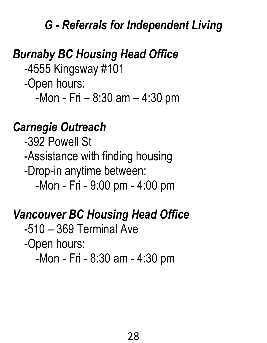### *G - Referrals for Independent Living*

# <span id="page-27-0"></span>*Burnaby BC Housing Head Office*

 -4555 Kingsway #101 -Open hours: -Mon - Fri – 8:30 am – 4:30 pm

### *Carnegie Outreach*

 -392 Powell St -Assistance with finding housing -Drop-in anytime between: -Mon - Fri - 9:00 pm - 4:00 pm

### *Vancouver BC Housing Head Office*

-510 – 369 Terminal Ave

-Open hours:

-Mon - Fri - 8:30 am - 4:30 pm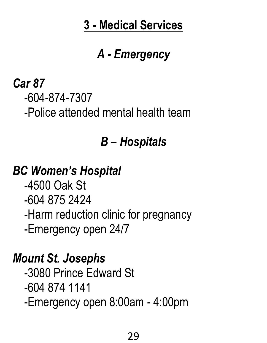# **3 - Medical Services**

# *A - Emergency*

### <span id="page-28-1"></span><span id="page-28-0"></span>*Car 87* -604-874-7307 -Police attended mental health team

# *B – Hospitals*

# <span id="page-28-2"></span>*BC Women's Hospital*

 -4500 Oak St -604 875 2424 -Harm reduction clinic for pregnancy -Emergency open 24/7

## *Mount St. Josephs*

 -3080 Prince Edward St -604 874 1141 -Emergency open 8:00am - 4:00pm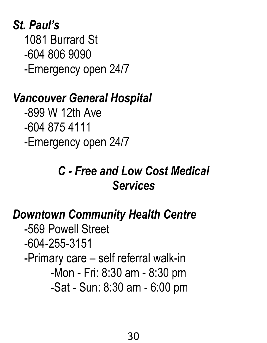# *St. Paul's*

 1081 Burrard St -604 806 9090 -Emergency open 24/7

### *Vancouver General Hospital*

 -899 W 12th Ave -604 875 4111 -Emergency open 24/7

# *C - Free and Low Cost Medical Services*

# <span id="page-29-1"></span><span id="page-29-0"></span>*Downtown Community Health Centre*

 -569 Powell Street -604-255-3151 -Primary care – self referral walk-in -Mon - Fri: 8:30 am - 8:30 pm -Sat - Sun: 8:30 am - 6:00 pm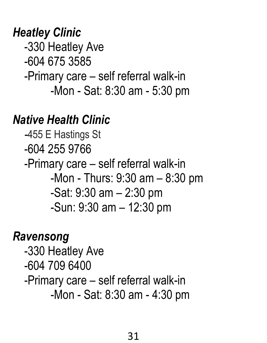### *Heatley Clinic*

 -330 Heatley Ave -604 675 3585 -Primary care – self referral walk-in -Mon - Sat: 8:30 am - 5:30 pm

### *Native Health Clinic*

 *-*455 E Hastings St -604 255 9766 -Primary care – self referral walk-in -Mon - Thurs: 9:30 am – 8:30 pm -Sat: 9:30 am – 2:30 pm -Sun: 9:30 am – 12:30 pm

### *Ravensong*

 -330 Heatley Ave -604 709 6400 -Primary care – self referral walk-in -Mon - Sat: 8:30 am - 4:30 pm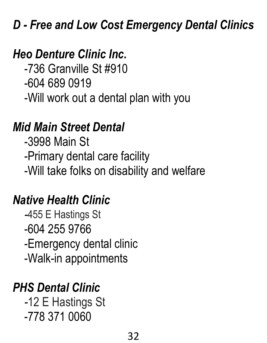# <span id="page-31-0"></span>*D - Free and Low Cost Emergency Dental Clinics*

# *Heo Denture Clinic Inc.*

 -736 Granville St #910 -604 689 0919 -Will work out a dental plan with you

# *Mid Main Street Dental*

 -3998 Main St -Primary dental care facility -Will take folks on disability and welfare

# *Native Health Clinic*

 *-*455 E Hastings St -604 255 9766 -Emergency dental clinic -Walk-in appointments

# *PHS Dental Clinic*

 *-*12 E Hastings St -778 371 0060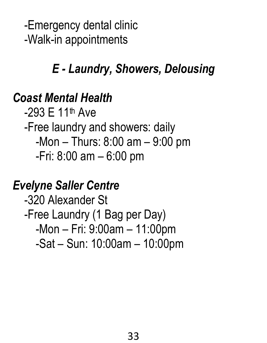-Emergency dental clinic -Walk-in appointments

# *E - Laundry, Showers, Delousing*

### <span id="page-32-0"></span>*Coast Mental Health*

 $-293$  F 11<sup>th</sup> Ave -Free laundry and showers: daily -Mon – Thurs: 8:00 am – 9:00 pm -Fri: 8:00 am – 6:00 pm

# *Evelyne Saller Centre*

 -320 Alexander St -Free Laundry (1 Bag per Day) -Mon – Fri: 9:00am – 11:00pm -Sat – Sun: 10:00am – 10:00pm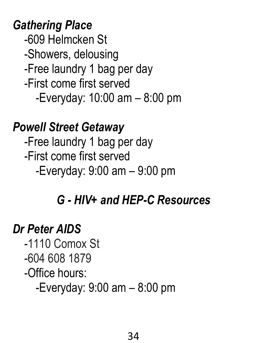*Gathering Place*

 -609 Helmcken St -Showers, delousing -Free laundry 1 bag per day -First come first served -Everyday: 10:00 am – 8:00 pm

*Powell Street Getaway*  -Free laundry 1 bag per day -First come first served -Everyday: 9:00 am – 9:00 pm

### *G - HIV+ and HEP-C Resources*

#### <span id="page-33-0"></span>*Dr Peter AIDS*

 -1110 Comox St -604 608 1879 -Office hours: -Everyday: 9:00 am – 8:00 pm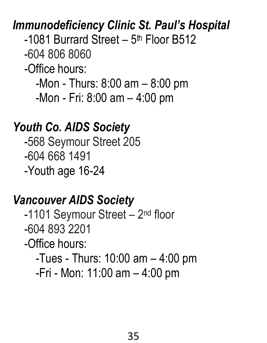### *Immunodeficiency Clinic St. Paul's Hospital*

-1081 Burrard Street - 5<sup>th</sup> Floor B512

-604 806 8060

-Office hours:

-Mon - Thurs: 8:00 am – 8:00 pm

-Mon - Fri: 8:00 am – 4:00 pm

#### *Youth Co. AIDS Society*

 -568 Seymour Street 205 -604 668 1491 -Youth age 16-24

#### *Vancouver AIDS Society*

-1101 Seymour Street – 2<sup>nd</sup> floor -604 893 2201 -Office hours:

-Tues - Thurs: 10:00 am – 4:00 pm

-Fri - Mon: 11:00 am – 4:00 pm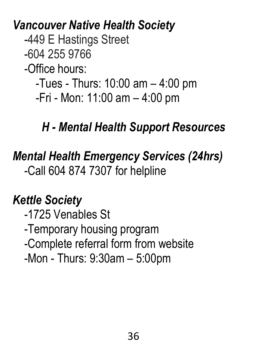*Vancouver Native Health Society*

-449 E Hastings Street

-604 255 9766

-Office hours:

-Tues - Thurs: 10:00 am – 4:00 pm

-Fri - Mon: 11:00 am – 4:00 pm

# *H - Mental Health Support Resources*

# <span id="page-35-0"></span>*Mental Health Emergency Services (24hrs)* -Call 604 874 7307 for helpline

# *Kettle Society*

 -1725 Venables St -Temporary housing program -Complete referral form from website -Mon - Thurs: 9:30am – 5:00pm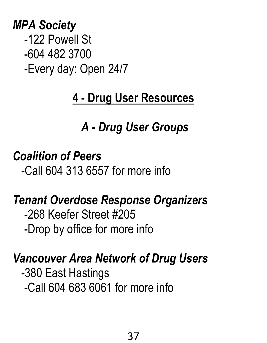## *MPA Society* -122 Powell St -604 482 3700 -Every day: Open 24/7

# **4 - Drug User Resources**

# *A - Drug User Groups*

### *Coalition of Peers*

-Call 604 313 6557 for more info

### *Tenant Overdose Response Organizers*

 -268 Keefer Street #205 -Drop by office for more info

#### *Vancouver Area Network of Drug Users*

 -380 East Hastings -Call 604 683 6061 for more info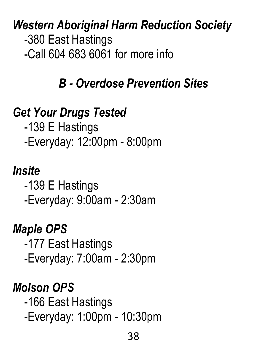*Western Aboriginal Harm Reduction Society* -380 East Hastings -Call 604 683 6061 for more info

### *B - Overdose Prevention Sites*

### *Get Your Drugs Tested*

 -139 E Hastings -Everyday: 12:00pm - 8:00pm

#### *Insite*

 -139 E Hastings -Everyday: 9:00am - 2:30am

#### *Maple OPS*

 -177 East Hastings -Everyday: 7:00am - 2:30pm

#### *Molson OPS*

 -166 East Hastings -Everyday: 1:00pm - 10:30pm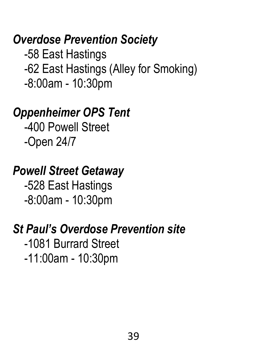#### *Overdose Prevention Society*

 -58 East Hastings -62 East Hastings (Alley for Smoking) -8:00am - 10:30pm

#### *Oppenheimer OPS Tent*

 -400 Powell Street -Open 24/7

#### *Powell Street Getaway*

 -528 East Hastings -8:00am - 10:30pm

#### *St Paul's Overdose Prevention site*

 -1081 Burrard Street -11:00am - 10:30pm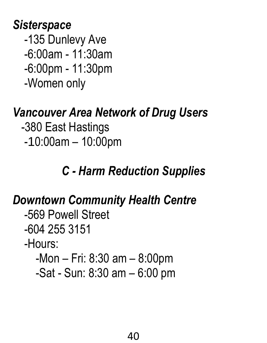#### *Sisterspace*

 -135 Dunlevy Ave -6:00am - 11:30am -6:00pm - 11:30pm -Women only

# *Vancouver Area Network of Drug Users*

- -380 East Hastings
- -10:00am 10:00pm

# *C - Harm Reduction Supplies*

# *Downtown Community Health Centre*

- -569 Powell Street -604 255 3151 -Hours:
	- -Mon Fri: 8:30 am 8:00pm
	- -Sat Sun: 8:30 am 6:00 pm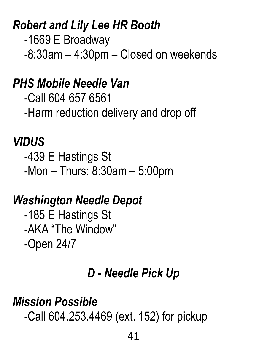### *Robert and Lily Lee HR Booth*

 -1669 E Broadway -8:30am – 4:30pm – Closed on weekends

#### *PHS Mobile Needle Van*

 -Call 604 657 6561 -Harm reduction delivery and drop off

#### *VIDUS*

 -439 E Hastings St -Mon – Thurs: 8:30am – 5:00pm

#### *Washington Needle Depot*

 -185 E Hastings St -AKA "The Window" -Open 24/7

#### *D - Needle Pick Up*

#### *Mission Possible*

-Call 604.253.4469 (ext. 152) for pickup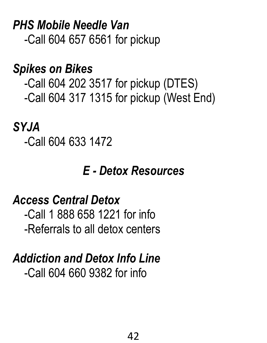*PHS Mobile Needle Van* -Call 604 657 6561 for pickup

#### *Spikes on Bikes*

 -Call 604 202 3517 for pickup (DTES) -Call 604 317 1315 for pickup (West End)

#### *SYJA*

-Call 604 633 1472

#### *E - Detox Resources*

#### *Access Central Detox*

 -Call 1 888 658 1221 for info -Referrals to all detox centers

# *Addiction and Detox Info Line*

-Call 604 660 9382 for info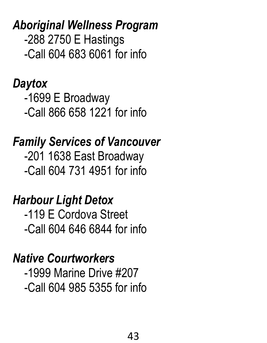*Aboriginal Wellness Program*  -288 2750 E Hastings -Call 604 683 6061 for info

*Daytox* -1699 E Broadway -Call 866 658 1221 for info

*Family Services of Vancouver* -201 1638 East Broadway -Call 604 731 4951 for info

*Harbour Light Detox* -119 E Cordova Street -Call 604 646 6844 for info

*Native Courtworkers* -1999 Marine Drive #207 -Call 604 985 5355 for info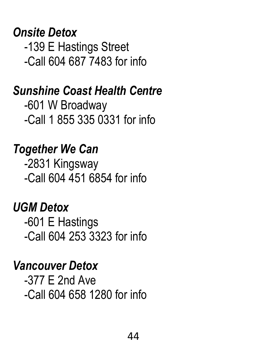### *Onsite Detox*

 -139 E Hastings Street -Call 604 687 7483 for info

#### *Sunshine Coast Health Centre*

 -601 W Broadway -Call 1 855 335 0331 for info

### *Together We Can*

 -2831 Kingsway -Call 604 451 6854 for info

### *UGM Detox*

 -601 E Hastings -Call 604 253 3323 for info

#### *Vancouver Detox*

 -377 E 2nd Ave -Call 604 658 1280 for info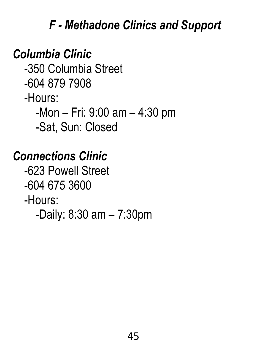### *F - Methadone Clinics and Support*

#### *Columbia Clinic*

 -350 Columbia Street -604 879 7908 -Hours: -Mon – Fri: 9:00 am – 4:30 pm -Sat, Sun: Closed

#### *Connections Clinic*

 -623 Powell Street -604 675 3600 -Hours: -Daily: 8:30 am – 7:30pm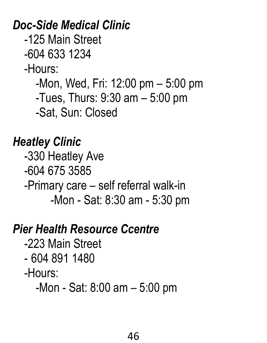*Doc-Side Medical Clinic*

-125 Main Street

-604 633 1234

-Hours:

-Mon, Wed, Fri: 12:00 pm – 5:00 pm

-Tues, Thurs: 9:30 am – 5:00 pm

-Sat, Sun: Closed

#### *Heatley Clinic*

 -330 Heatley Ave -604 675 3585 -Primary care – self referral walk-in -Mon - Sat: 8:30 am - 5:30 pm

#### *Pier Health Resource Ccentre*

- -223 Main Street
- 604 891 1480
- -Hours:

-Mon - Sat: 8:00 am – 5:00 pm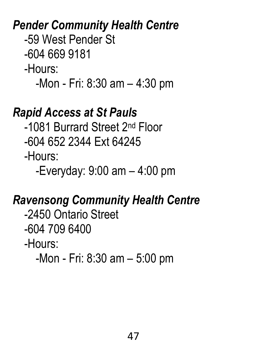#### *Pender Community Health Centre*

-59 West Pender St

-604 669 9181

-Hours:

-Mon - Fri: 8:30 am – 4:30 pm

#### *Rapid Access at St Pauls*

 -1081 Burrard Street 2nd Floor -604 652 2344 Ext 64245 -Hours:

-Everyday: 9:00 am – 4:00 pm

### *Ravensong Community Health Centre*

 -2450 Ontario Street -604 709 6400 -Hours:

-Mon - Fri: 8:30 am – 5:00 pm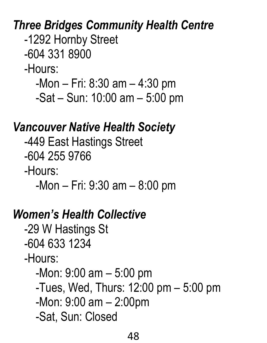### *Three Bridges Community Health Centre*

-1292 Hornby Street

-604 331 8900

-Hours:

-Mon – Fri: 8:30 am – 4:30 pm

-Sat – Sun: 10:00 am – 5:00 pm

### *Vancouver Native Health Society*

 -449 East Hastings Street -604 255 9766 -Hours:

-Mon – Fri: 9:30 am – 8:00 pm

# *Women's Health Collective*

 -29 W Hastings St -604 633 1234

-Hours:

-Mon: 9:00 am – 5:00 pm

- -Tues, Wed, Thurs: 12:00 pm 5:00 pm
- -Mon: 9:00 am 2:00pm

-Sat, Sun: Closed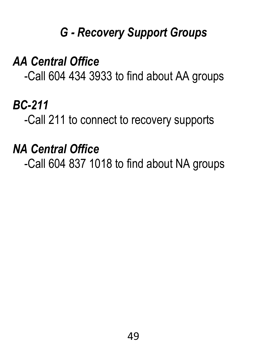# *G - Recovery Support Groups*

*AA Central Office*

-Call 604 434 3933 to find about AA groups

# *BC-211*

-Call 211 to connect to recovery supports

### *NA Central Office*

-Call 604 837 1018 to find about NA groups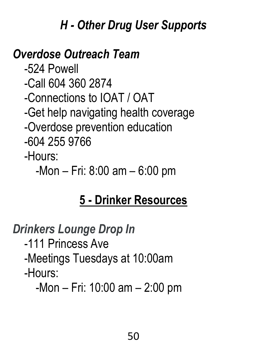# *H - Other Drug User Supports*

# *Overdose Outreach Team*

 -524 Powell -Call 604 360 2874 -Connections to IOAT / OAT -Get help navigating health coverage -Overdose prevention education -604 255 9766

-Hours:

-Mon – Fri: 8:00 am – 6:00 pm

# **5 - Drinker Resources**

### *Drinkers Lounge Drop In*

-111 Princess Ave

### -Meetings Tuesdays at 10:00am

#### -Hours:

-Mon – Fri: 10:00 am – 2:00 pm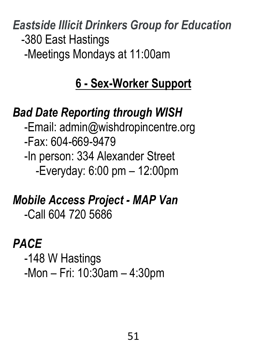*Eastside Illicit Drinkers Group for Education* -380 East Hastings -Meetings Mondays at 11:00am

# **6 - Sex-Worker Support**

### *Bad Date Reporting through WISH*

 -Email: admin@wishdropincentre.org -Fax: 604-669-9479 -In person: 334 Alexander Street -Everyday: 6:00 pm – 12:00pm

## *Mobile Access Project - MAP Van* -Call 604 720 5686

#### *PACE*

 -148 W Hastings -Mon – Fri: 10:30am – 4:30pm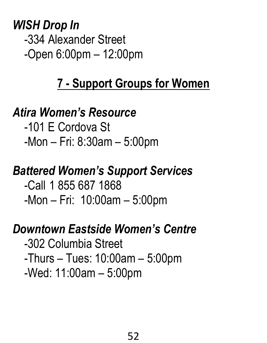*WISH Drop In* -334 Alexander Street -Open 6:00pm – 12:00pm

## **7 - Support Groups for Women**

### *Atira Women's Resource*

 -101 E Cordova St -Mon – Fri: 8:30am – 5:00pm

## *Battered Women's Support Services*

 -Call 1 855 687 1868 -Mon – Fri: 10:00am – 5:00pm

#### *Downtown Eastside Women's Centre*

 -302 Columbia Street -Thurs – Tues: 10:00am – 5:00pm -Wed: 11:00am – 5:00pm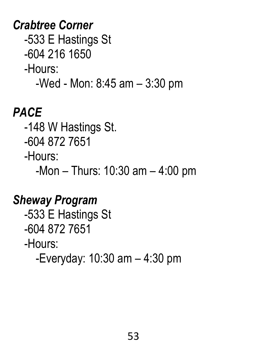*Crabtree Corner* -533 E Hastings St -604 216 1650 -Hours: -Wed - Mon: 8:45 am – 3:30 pm

### *PACE*

-148 W Hastings St.

-604 872 7651

-Hours:

-Mon – Thurs: 10:30 am – 4:00 pm

# *Sheway Program*

 -533 E Hastings St -604 872 7651 -Hours: -Everyday: 10:30 am – 4:30 pm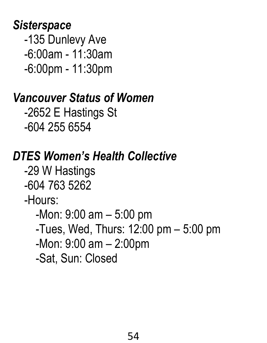#### *Sisterspace*

 -135 Dunlevy Ave -6:00am - 11:30am -6:00pm - 11:30pm

# *Vancouver Status of Women*

 -2652 E Hastings St -604 255 6554

# *DTES Women's Health Collective*

 -29 W Hastings -604 763 5262 -Hours: -Mon: 9:00 am – 5:00 pm -Tues, Wed, Thurs: 12:00 pm – 5:00 pm

- 
- -Mon: 9:00 am 2:00pm
- -Sat, Sun: Closed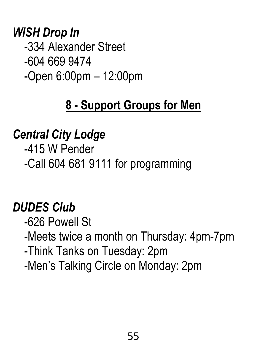#### *WISH Drop In*

 -334 Alexander Street -604 669 9474 -Open 6:00pm – 12:00pm

## **8 - Support Groups for Men**

### *Central City Lodge*

 -415 W Pender -Call 604 681 9111 for programming

## *DUDES Club*

 -626 Powell St -Meets twice a month on Thursday: 4pm-7pm -Think Tanks on Tuesday: 2pm -Men's Talking Circle on Monday: 2pm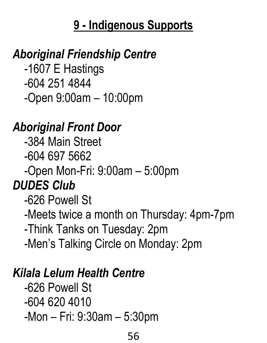### **9 - Indigenous Supports**

### *Aboriginal Friendship Centre*

 -1607 E Hastings -604 251 4844 -Open 9:00am – 10:00pm

#### *Aboriginal Front Door*

 -384 Main Street -604 697 5662 -Open Mon-Fri: 9:00am – 5:00pm *DUDES Club* -626 Powell St -Meets twice a month on Thursday: 4pm-7pm -Think Tanks on Tuesday: 2pm -Men's Talking Circle on Monday: 2pm

### *Kílala Lelum Health Centre*

 -626 Powell St -604 620 4010 -Mon – Fri: 9:30am – 5:30pm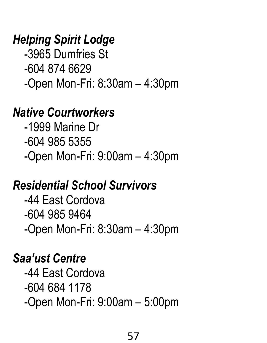### *Helping Spirit Lodge*

 -3965 Dumfries St -604 874 6629 -Open Mon-Fri: 8:30am – 4:30pm

#### *Native Courtworkers*

 -1999 Marine Dr -604 985 5355 -Open Mon-Fri: 9:00am – 4:30pm

### *Residential School Survivors*

 -44 East Cordova -604 985 9464 -Open Mon-Fri: 8:30am – 4:30pm

### *Saa'ust Centre*

 -44 East Cordova -604 684 1178 -Open Mon-Fri: 9:00am – 5:00pm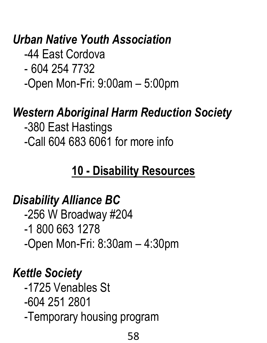## *Urban Native Youth Association*

- -44 East Cordova
- 604 254 7732
- -Open Mon-Fri: 9:00am 5:00pm

#### *Western Aboriginal Harm Reduction Society*

 -380 East Hastings -Call 604 683 6061 for more info

### **10 - Disability Resources**

### *Disability Alliance BC*

 -256 W Broadway #204 -1 800 663 1278 -Open Mon-Fri: 8:30am – 4:30pm

### *Kettle Society*

 -1725 Venables St -604 251 2801 -Temporary housing program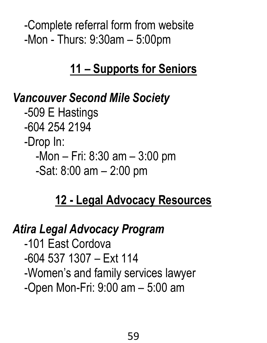-Complete referral form from website -Mon - Thurs: 9:30am – 5:00pm

#### **11 – Supports for Seniors**

#### *Vancouver Second Mile Society*

 -509 E Hastings -604 254 2194 -Drop In: -Mon – Fri: 8:30 am – 3:00 pm -Sat: 8:00 am – 2:00 pm

## **12 - Legal Advocacy Resources**

## *Atira Legal Advocacy Program*

 -101 East Cordova -604 537 1307 – Ext 114 -Women's and family services lawyer -Open Mon-Fri: 9:00 am – 5:00 am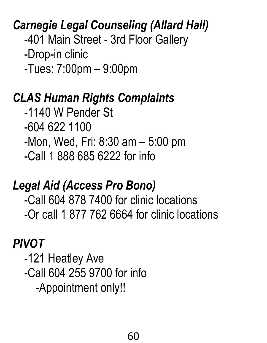### *Carnegie Legal Counseling (Allard Hall)*

-401 Main Street - 3rd Floor Gallery

-Drop-in clinic

-Tues: 7:00pm – 9:00pm

### *CLAS Human Rights Complaints*

 -1140 W Pender St -604 622 1100 -Mon, Wed, Fri: 8:30 am – 5:00 pm -Call 1 888 685 6222 for info

# *Legal Aid (Access Pro Bono)*

 -Call 604 878 7400 for clinic locations -Or call 1 877 762 6664 for clinic locations

### *PIVOT*

 -121 Heatley Ave -Call 604 255 9700 for info -Appointment only!!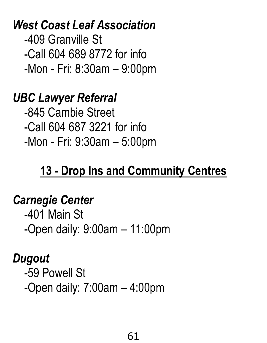*West Coast Leaf Association* -409 Granville St -Call 604 689 8772 for info -Mon - Fri: 8:30am – 9:00pm

### *UBC Lawyer Referral*

 -845 Cambie Street -Call 604 687 3221 for info -Mon - Fri: 9:30am – 5:00pm

# **13 - Drop Ins and Community Centres**

#### *Carnegie Center*

 -401 Main St -Open daily: 9:00am – 11:00pm

#### *Dugout*

 -59 Powell St -Open daily: 7:00am – 4:00pm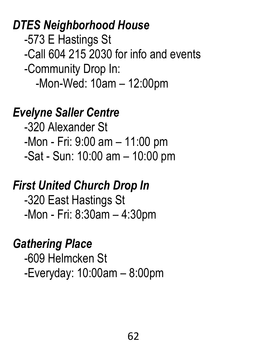*DTES Neighborhood House* -573 E Hastings St -Call 604 215 2030 for info and events -Community Drop In: -Mon-Wed: 10am – 12:00pm

*Evelyne Saller Centre*

 -320 Alexander St -Mon - Fri: 9:00 am – 11:00 pm -Sat - Sun: 10:00 am – 10:00 pm

#### *First United Church Drop In*

 -320 East Hastings St -Mon - Fri: 8:30am – 4:30pm

### *Gathering Place*

 -609 Helmcken St -Everyday: 10:00am – 8:00pm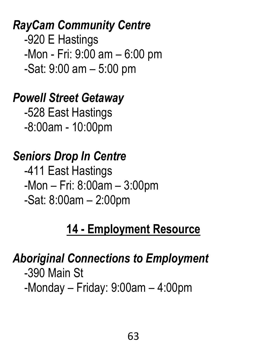*RayCam Community Centre* -920 E Hastings -Mon - Fri: 9:00 am – 6:00 pm -Sat: 9:00 am – 5:00 pm

#### *Powell Street Getaway*

 -528 East Hastings -8:00am - 10:00pm

### *Seniors Drop In Centre*

 -411 East Hastings -Mon – Fri: 8:00am – 3:00pm -Sat: 8:00am – 2:00pm

#### **14 - Employment Resource**

#### *Aboriginal Connections to Employment* -390 Main St -Monday – Friday: 9:00am – 4:00pm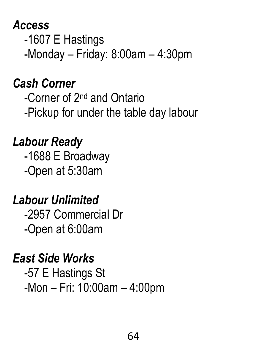#### *Access* -1607 E Hastings -Monday – Friday: 8:00am – 4:30pm

### *Cash Corner*

 -Corner of 2nd and Ontario -Pickup for under the table day labour

## *Labour Ready*

 -1688 E Broadway -Open at 5:30am

# *Labour Unlimited*

 -2957 Commercial Dr -Open at 6:00am

## *East Side Works*

 -57 E Hastings St -Mon – Fri: 10:00am – 4:00pm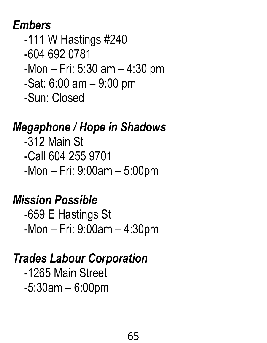#### *Embers*

 -111 W Hastings #240 -604 692 0781 -Mon – Fri: 5:30 am – 4:30 pm -Sat: 6:00 am – 9:00 pm -Sun: Closed

### *Megaphone / Hope in Shadows*

 -312 Main St -Call 604 255 9701 -Mon – Fri: 9:00am – 5:00pm

### *Mission Possible*

 -659 E Hastings St -Mon – Fri: 9:00am – 4:30pm

# *Trades Labour Corporation*

 -1265 Main Street -5:30am – 6:00pm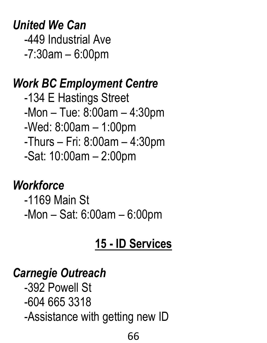*United We Can* -449 Industrial Ave -7:30am – 6:00pm

#### *Work BC Employment Centre*

 -134 E Hastings Street -Mon – Tue: 8:00am – 4:30pm -Wed: 8:00am – 1:00pm -Thurs – Fri: 8:00am – 4:30pm -Sat: 10:00am – 2:00pm

### *Workforce*

 -1169 Main St -Mon – Sat: 6:00am – 6:00pm

# **15 - ID Services**

### *Carnegie Outreach*

 -392 Powell St -604 665 3318 -Assistance with getting new ID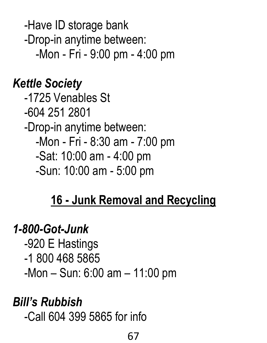-Have ID storage bank -Drop-in anytime between: -Mon - Fri - 9:00 pm - 4:00 pm

### *Kettle Society*

 -1725 Venables St -604 251 2801 -Drop-in anytime between: -Mon - Fri - 8:30 am - 7:00 pm -Sat: 10:00 am - 4:00 pm -Sun: 10:00 am - 5:00 pm

## **16 - Junk Removal and Recycling**

#### *1-800-Got-Junk*

 -920 E Hastings -1 800 468 5865 -Mon – Sun: 6:00 am – 11:00 pm

## *Bill's Rubbish*

-Call 604 399 5865 for info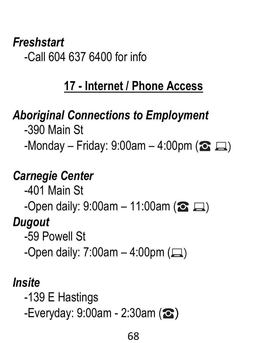#### *Freshstart* -Call 604 637 6400 for info

# **17 - Internet / Phone Access**

# *Aboriginal Connections to Employment*

 -390 Main St -Monday – Friday: 9:00am – 4:00pm ( $\odot \Box$ )

# *Carnegie Center*

-401 Main St

-Open daily:  $9:00$ am – 11:00am ( $\odot$   $\Box$ )

## *Dugout*

-59 Powell St

-Open daily:  $7:00$ am –  $4:00$ pm  $(\square)$ 

# *Insite*

-139 E Hastings

-Everyday: 9:00am - 2:30am (☎)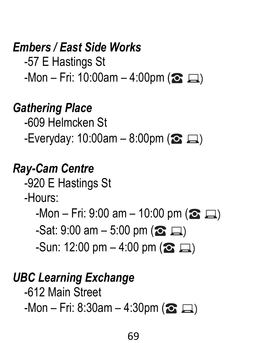### *Embers / East Side Works*

 -57 E Hastings St  $-$ Mon – Fri: 10:00am – 4:00pm ( $\odot$   $\Box$ )

#### *Gathering Place*

 -609 Helmcken St -Everyday: 10:00am – 8:00pm ( $\odot$   $\Box$ )

#### *Ray-Cam Centre*

-920 E Hastings St

-Hours:

 $-Mon - Fri: 9:00 am - 10:00 pm (2)$ 

 $-Sat: 9:00$  am  $-5:00$  pm  $(2)$ 

 $-Sun: 12:00 \text{ pm} - 4:00 \text{ pm}$  ( $\text{C}$   $\Box$ )

#### *UBC Learning Exchange*

-612 Main Street

 $-$ Mon – Fri: 8:30am – 4:30pm ( $\bullet$   $\Box$ )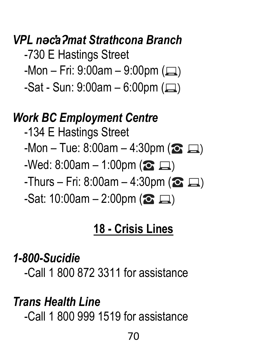### *VPL nəc̓aʔmat Strathcona Branch*

- -730 E Hastings Street
- $-$ Mon Fri: 9:00am 9:00pm ( $\Box$ )
- $-Sat Sun: 9:00am 6:00pm (1)$

#### *Work BC Employment Centre*

- -134 E Hastings Street  $-$ Mon – Tue: 8:00am – 4:30pm ( $\odot$   $\Box$ )  $-$ Wed: 8:00am – 1:00pm ( $\odot$   $\Box$ ) -Thurs – Fri: 8:00am – 4:30pm ( $\odot \Box$ )
	- $-Sat: 10:00$ am 2:00pm ( $\odot \Box$ )

### **18 - Crisis Lines**

#### *1-800-Sucidie*

-Call 1 800 872 3311 for assistance

### *Trans Health Line*

-Call 1 800 999 1519 for assistance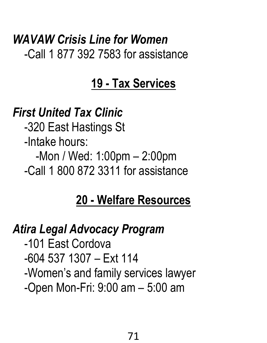### *WAVAW Crisis Line for Women* -Call 1 877 392 7583 for assistance

# **19 - Tax Services**

### *First United Tax Clinic*

 -320 East Hastings St -Intake hours: -Mon / Wed: 1:00pm – 2:00pm -Call 1 800 872 3311 for assistance

## **20 - Welfare Resources**

# *Atira Legal Advocacy Program*

 -101 East Cordova -604 537 1307 – Ext 114 -Women's and family services lawyer -Open Mon-Fri: 9:00 am – 5:00 am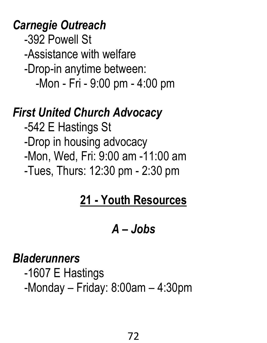#### *Carnegie Outreach*

 -392 Powell St -Assistance with welfare -Drop-in anytime between:

-Mon - Fri - 9:00 pm - 4:00 pm

#### *First United Church Advocacy*

 -542 E Hastings St -Drop in housing advocacy -Mon, Wed, Fri: 9:00 am -11:00 am -Tues, Thurs: 12:30 pm - 2:30 pm

# **21 - Youth Resources**

# *A – Jobs*

#### *Bladerunners*

 -1607 E Hastings -Monday – Friday: 8:00am – 4:30pm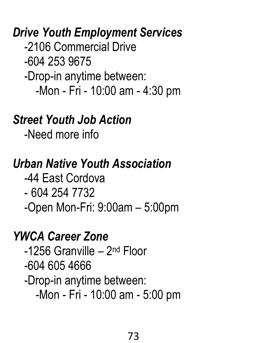#### *Drive Youth Employment Services*

 -2106 Commercial Drive -604 253 9675 -Drop-in anytime between: -Mon - Fri - 10:00 am - 4:30 pm

### *Street Youth Job Action*

-Need more info

# *Urban Native Youth Association*

-44 East Cordova

- 604 254 7732

-Open Mon-Fri: 9:00am – 5:00pm

# *YWCA Career Zone*

-1256 Granville – 2<sup>nd</sup> Floor -604 605 4666 -Drop-in anytime between: -Mon - Fri - 10:00 am - 5:00 pm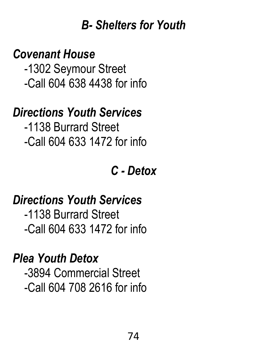#### *B- Shelters for Youth*

#### *Covenant House*

 -1302 Seymour Street -Call 604 638 4438 for info

### *Directions Youth Services*

 -1138 Burrard Street -Call 604 633 1472 for info

*C - Detox*

## *Directions Youth Services*

 -1138 Burrard Street -Call 604 633 1472 for info

#### *Plea Youth Detox*

 -3894 Commercial Street -Call 604 708 2616 for info